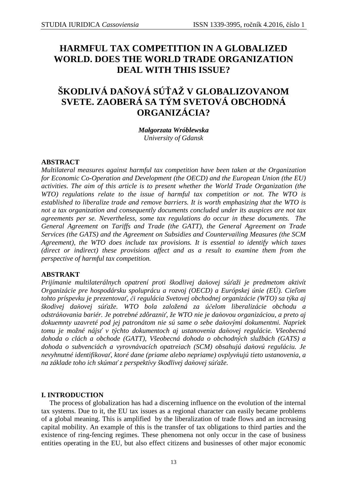# **HARMFUL TAX COMPETITION IN A GLOBALIZED WORLD. DOES THE WORLD TRADE ORGANIZATION DEAL WITH THIS ISSUE?**

# **ŠKODLIVÁ DAŇOVÁ SÚŤAŽ V GLOBALIZOVANOM SVETE. ZAOBERÁ SA TÝM SVETOVÁ OBCHODNÁ ORGANIZÁCIA?**

*Małgorzata Wróblewska University of Gdansk* 

## **ABSTRACT**

*Multilateral measures against harmful tax competition have been taken at the Organization for Economic Co-Operation and Development (the OECD) and the European Union (the EU) activities. The aim of this article is to present whether the World Trade Organization (the WTO) regulations relate to the issue of harmful tax competition or not. The WTO is established to liberalize trade and remove barriers. It is worth emphasizing that the WTO is not a tax organization and consequently documents concluded under its auspices are not tax agreements per se. Nevertheless, some tax regulations do occur in these documents. The General Agreement on Tariffs and Trade (the GATT), the General Agreement on Trade Services (the GATS) and the Agreement on Subsidies and Countervailing Measures (the SCM Agreement), the WTO does include tax provisions. It is essential to identify which taxes (direct or indirect) these provisions affect and as a result to examine them from the perspective of harmful tax competition.*

## **ABSTRAKT**

*Prijímanie multilaterálnych opatrení proti škodlivej daňovej súťaži je predmetom aktivít Organizácie pre hospodársku spoluprácu a rozvoj (OECD) a Európskej únie (EÚ). Cieľom tohto príspevku je prezentovať, či regulácia Svetovej obchodnej organizácie (WTO) sa týka aj škodivej daňovej súťaže. WTO bola založená za účelom liberalizácie obchodu a odstráňovania bariér. Je potrebné zdôrazniť, že WTO nie je daňovou organizáciou, a preto aj dokuemnty uzavreté pod jej patronátom nie sú same o sebe daňovými dokumentmi. Napriek tomu je možné nájsť v týchto dokumentoch aj ustanovenia daňovej regulácie. Všeobecná dohoda o clách a obchode (GATT), Všeobecná dohoda o obchodných službách (GATS) a dohoda o subvenciách a vyrovnávacích opatreiach (SCM) obsahujú daňovú reguláciu. Je nevyhnutné identifikovať, ktoré dane (priame alebo nepriame) ovplyvňujú tieto ustanovenia, a na základe toho ich skúmať z perspektívy škodlivej daňovej súťaže.* 

## **I. INTRODUCTION**

The process of globalization has had a discerning influence on the evolution of the internal tax systems. Due to it, the EU tax issues as a regional character can easily became problems of a global meaning. This is amplified by the liberalization of trade flows and an increasing capital mobility. An example of this is the transfer of tax obligations to third parties and the existence of ring-fencing regimes. These phenomena not only occur in the case of business entities operating in the EU, but also effect citizens and businesses of other major economic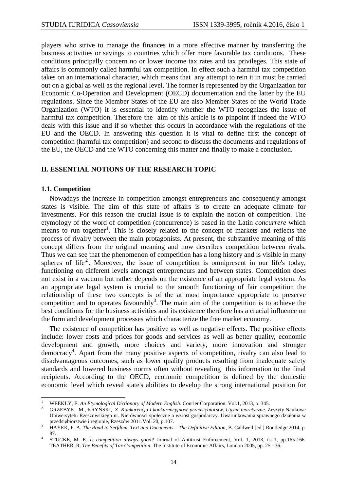players who strive to manage the finances in a more effective manner by transferring the business activities or savings to countries which offer more favorable tax conditions. These conditions principally concern no or lower income tax rates and tax privileges. This state of affairs is commonly called harmful tax competition. In effect such a harmful tax competition takes on an international character, which means that any attempt to rein it in must be carried out on a global as well as the regional level. The former is represented by the Organization for Economic Co-Operation and Development (OECD) documentation and the latter by the EU regulations. Since the Member States of the EU are also Member States of the World Trade Organization (WTO) it is essential to identify whether the WTO recognizes the issue of harmful tax competition. Therefore the aim of this article is to pinpoint if indeed the WTO deals with this issue and if so whether this occurs in accordance with the regulations of the EU and the OECD. In answering this question it is vital to define first the concept of competition (harmful tax competition) and second to discuss the documents and regulations of the EU, the OECD and the WTO concerning this matter and finally to make a conclusion.

#### **II. ESSENTIAL NOTIONS OF THE RESEARCH TOPIC**

#### **1.1. Competition**

 $\overline{a}$ 

Nowadays the increase in competition amongst entrepreneurs and consequently amongst states is visible. The aim of this state of affairs is to create an adequate climate for investments. For this reason the crucial issue is to explain the notion of competition. The etymology of the word of competition (concurrence) is based in the Latin *concurrere* which means to run together<sup>1</sup>. This is closely related to the concept of markets and reflects the process of rivalry between the main protagonists. At present, the substantive meaning of this concept differs from the original meaning and now describes competition between rivals. Thus we can see that the phenomenon of competition has a long history and is visible in many spheres of life<sup>2</sup>. Moreover, the issue of competition is omnipresent in our life's today, functioning on different levels amongst entrepreneurs and between states. Competition does not exist in a vacuum but rather depends on the existence of an appropriate legal system. As an appropriate legal system is crucial to the smooth functioning of fair competition the relationship of these two concepts is of the at most importance appropriate to preserve competition and to operates favourably<sup>3</sup>. The main aim of the competition is to achieve the best conditions for the business activities and its existence therefore has a crucial influence on the form and development processes which characterize the free market economy.

The existence of competition has positive as well as negative effects. The positive effects include: lower costs and prices for goods and services as well as better quality, economic development and growth, more choices and variety, more innovation and stronger democracy<sup>4</sup>. Apart from the many positive aspects of competition, rivalry can also lead to disadvantageous outcomes, such as lower quality products resulting from inadequate safety standards and lowered business norms often without revealing this information to the final recipients. According to the OECD, economic competition is defined by the domestic economic level which reveal state's abilities to develop the strong international position for

<sup>1</sup> WEEKLY, E. *An Etymological Dictionary of Modern English*. Courier Corporation. Vol.1, 2013, p. 345.

 $\gamma$  GRZEBYK, M., KRYŃSKI, Z. *Konkurencja I konkurencyjność przedsiębiorstw. Ujęcie teoretyczne*. Zeszyty Naukowe Uniwersytetu Rzeszowskiego nt. Nierówności społeczne a wzrost gospodarczy. Uwarunkowania sprawnego działania w przedsiębiorstwie i regionie, Rzeszów 2011.Vol. 20, p.107.

<sup>3</sup> HAYEK, F. A. *The Road to Serfdom. Text and Documents – The Definitive Edition*, B. Caldwell [ed.] Routledge 2014, p. 87.

<sup>4</sup> STUCKE, M. E. *Is competition always good?* Journal of Antitrust Enforcement, Vol. 1, 2013, iss.1, pp.165-166. TEATHER, R. *The Benefits of Tax Competition*. The Institute of Economic Affairs, London 2005, pp. 25 - 36.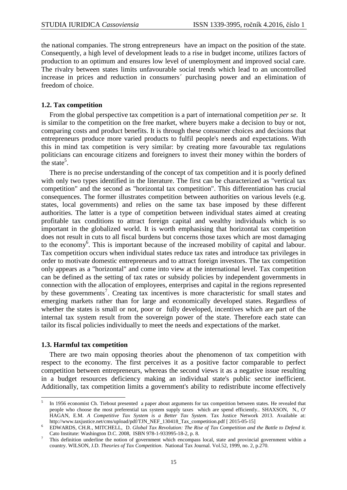the national companies. The strong entrepreneurs have an impact on the position of the state. Consequently, a high level of development leads to a rise in budget income, utilizes factors of production to an optimum and ensures low level of unemployment and improved social care. The rivalry between states limits unfavourable social trends which lead to an uncontrolled increase in prices and reduction in consumers´ purchasing power and an elimination of freedom of choice.

#### **1.2. Tax competition**

From the global perspective tax competition is a part of international competition *per se*. It is similar to the competition on the free market, where buyers make a decision to buy or not, comparing costs and product benefits. It is through these consumer choices and decisions that entrepreneurs produce more varied products to fulfil people's needs and expectations. With this in mind tax competition is very similar: by creating more favourable tax regulations politicians can encourage citizens and foreigners to invest their money within the borders of the state<sup>5</sup>.

There is no precise understanding of the concept of tax competition and it is poorly defined with only two types identified in the literature. The first can be characterized as "vertical tax competition" and the second as "horizontal tax competition". This differentiation has crucial consequences. The former illustrates competition between authorities on various levels (e.g. states, local governments) and relies on the same tax base imposed by these different authorities. The latter is a type of competition between individual states aimed at creating profitable tax conditions to attract foreign capital and wealthy individuals which is so important in the globalized world. It is worth emphasising that horizontal tax competition does not result in cuts to all fiscal burdens but concerns those taxes which are most damaging to the economy<sup>6</sup>. This is important because of the increased mobility of capital and labour. Tax competition occurs when individual states reduce tax rates and introduce tax privileges in order to motivate domestic entrepreneurs and to attract foreign investors. The tax competition only appears as a "horizontal" and come into view at the international level. Tax competition can be defined as the setting of tax rates or subsidy policies by independent governments in connection with the allocation of employees, enterprises and capital in the regions represented by these governments<sup>7</sup>. Creating tax incentives is more characteristic for small states and emerging markets rather than for large and economically developed states. Regardless of whether the states is small or not, poor or fully developed, incentives which are part of the internal tax system result from the sovereign power of the state. Therefore each state can tailor its fiscal policies individually to meet the needs and expectations of the market.

#### **1.3. Harmful tax competition**

 $\overline{a}$ 

There are two main opposing theories about the phenomenon of tax competition with respect to the economy. The first perceives it as a positive factor comparable to perfect competition between entrepreneurs, whereas the second views it as a negative issue resulting in a budget resources deficiency making an individual state's public sector inefficient. Additionally, tax competition limits a government's ability to redistribute income effectively

<sup>5</sup> In 1956 economist Ch. Tiebout presented a paper about arguments for tax competition between states. He revealed that people who choose the most preferential tax system supply taxes which are spend efficiently.. SHAXSON, N., O' HAGAN, E.M. *A Competitive Tax System is a Better Tax System*. Tax Justice Network 2013. Available at: http://www.taxjustice.net/cms/upload/pdf/TJN\_NEF\_130418\_Tax\_competition.pdf [ 2015-05-15]

<sup>6</sup> EDWARDS, CH.R., MITCHELL, D. *Global Tax Revolution: The Rise of Tax Competition and the Battle to Defend it.* Cato Institute: Washington D.C. 2008, ISBN 978-1-933995-18-2, p. 8.

<sup>7</sup> This definition underline the notion of government which encompass local, state and provincial government within a country. WILSON, J.D. *Theories of Tax Competition*. National Tax Journal. Vol.52, 1999, no. 2, p.270.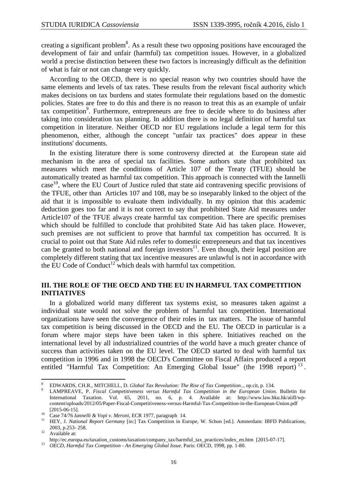creating a significant problem<sup>8</sup>. As a result these two opposing positions have encouraged the development of fair and unfair (harmful) tax competition issues. However, in a globalized world a precise distinction between these two factors is increasingly difficult as the definition of what is fair or not can change very quickly.

According to the OECD, there is no special reason why two countries should have the same elements and levels of tax rates. These results from the relevant fiscal authority which makes decisions on tax burdens and states formulate their regulations based on the domestic policies. States are free to do this and there is no reason to treat this as an example of unfair tax competition<sup>9</sup>. Furthermore, entrepreneurs are free to decide where to do business after taking into consideration tax planning. In addition there is no legal definition of harmful tax competition in literature. Neither OECD nor EU regulations include a legal term for this phenomenon, either, although the concept "unfair tax practices" does appear in these institutions' documents.

In the existing literature there is some controversy directed at the European state aid mechanism in the area of special tax facilities. Some authors state that prohibited tax measures which meet the conditions of Article 107 of the Treaty (TFUE) should be automatically treated as harmful tax competition. This approach is connected with the Iannelli  $case<sup>10</sup>$ , where the EU Court of Justice ruled that state aid contravening specific provisions of the TFUE, other than Articles 107 and 108, may be so inseparably linked to the object of the aid that it is impossible to evaluate them individually. In my opinion that this academic deduction goes too far and it is not correct to say that prohibited State Aid measures under Article107 of the TFUE always create harmful tax competition. There are specific premises which should be fulfilled to conclude that prohibited State Aid has taken place. However, such premises are not sufficient to prove that harmful tax competition has occurred. It is crucial to point out that State Aid rules refer to domestic entrepreneurs and that tax incentives can be granted to both national and foreign investors $^{11}$ . Even though, their legal position are completely different stating that tax incentive measures are unlawful is not in accordance with the EU Code of Conduct<sup>12</sup> which deals with harmful tax competition.

### **III. THE ROLE OF THE OECD AND THE EU IN HARMFUL TAX COMPETITION INITIATIVES**

In a globalized world many different tax systems exist, so measures taken against a individual state would not solve the problem of harmful tax competition. International organizations have seen the convergence of their roles in tax matters. The issue of harmful tax competition is being discussed in the OECD and the EU. The OECD in particular is a forum where major steps have been taken in this sphere. Initiatives reached on the international level by all industrialized countries of the world have a much greater chance of success than activities taken on the EU level. The OECD started to deal with harmful tax competition in 1996 and in 1998 the OECD's Committee on Fiscal Affairs produced a report entitled "Harmful Tax Competition: An Emerging Global Issue" (the 1998 report)<sup>13</sup>.

<sup>8</sup> EDWARDS, CH.R., MITCHELL, D. *Global Tax Revolution: The Rise of Tax Competition*.., op.cit, p. 134.

<sup>9</sup> LAMPREAVE, P. *Fiscal Competitiveness versus Harmful Tax Competition in the European Union*. Bulletin for International Taxation. Vol. 65, 2011, no. 6, p. 4. Available at: http://www.law.hku.hk/aiifl/wpcontent/uploads/2012/05/Paper-Fiscal-Competitiveness-versus-Harmful-Tax-Competition-in-the-European-Union.pdf [2015-06-15].

<sup>10</sup> Case 74/76 *Iannelli & Vopi v. Meroni*, ECR 1977, paragraph 14.

<sup>11</sup> HEY, J. *National Report Germany* [in:] Tax Competition in Europe, W. Schon [ed.]. Amsterdam: IBFD Publications, 2003, p.253- 258.

<sup>&</sup>lt;sup>12</sup> Available at:

http://ec.europa.eu/taxation\_customs/taxation/company\_tax/harmful\_tax\_practices/index\_en.htm [2015-07-17].

<sup>&</sup>lt;sup>13</sup> *OECD, Harmful Tax Competition - An Emerging Global Issue*. Paris: OECD, 1998, pp. 1-80.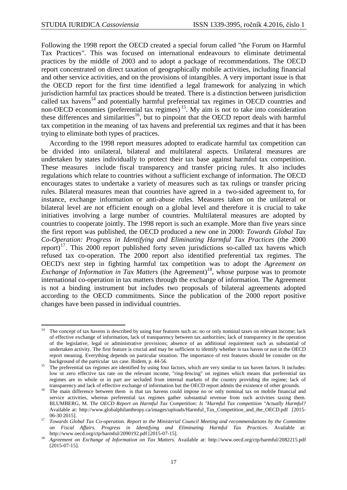$\overline{a}$ 

Following the 1998 report the OECD created a special forum called "the Forum on Harmful Tax Practices". This was focused on international endeavours to eliminate detrimental practices by the middle of 2003 and to adopt a package of recommendations. The OECD report concentrated on direct taxation of geographically mobile activities, including financial and other service activities, and on the provisions of intangibles. A very important issue is that the OECD report for the first time identified a legal framework for analyzing in which jurisdiction harmful tax practices should be treated. There is a distinction between jurisdiction called tax havens<sup>14</sup> and potentially harmful preferential tax regimes in OECD countries and non-OECD economies (preferential tax regimes)<sup>15</sup>. My aim is not to take into consideration these differences and similarities<sup>16</sup>, but to pinpoint that the OECD report deals with harmful tax competition in the meaning of tax havens and preferential tax regimes and that it has been trying to eliminate both types of practices.

According to the 1998 report measures adopted to eradicate harmful tax competition can be divided into unilateral, bilateral and multilateral aspects. Unilateral measures are undertaken by states individually to protect their tax base against harmful tax competition. These measures include fiscal transparency and transfer pricing rules. It also includes regulations which relate to countries without a sufficient exchange of information. The OECD encourages states to undertake a variety of measures such as tax rulings or transfer pricing rules. Bilateral measures mean that countries have agreed in a two-sided agreement to, for instance, exchange information or anti-abuse rules. Measures taken on the unilateral or bilateral level are not efficient enough on a global level and therefore it is crucial to take initiatives involving a large number of countries. Multilateral measures are adopted by countries to cooperate jointly. The 1998 report is such an example. More than five years since the first report was published, the OECD produced a new one in 2000: *Towards Global Tax Co-Operation: Progress in Identifying and Eliminating Harmful Tax Practices* (the 2000 report)<sup>17</sup>. This 2000 report published forty seven jurisdictions so-called tax havens which refused tax co-operation. The 2000 report also identified preferential tax regimes. The OECD's next step in fighting harmful tax competition was to adopt the *Agreement on Exchange of Information in Tax Matters* (the Agreement)<sup>18</sup>, whose purpose was to promote international co-operation in tax matters through the exchange of information. The Agreement is not a binding instrument but includes two proposals of bilateral agreements adopted according to the OECD commitments. Since the publication of the 2000 report positive changes have been passed in individual countries.

<sup>14</sup> The concept of tax havens is described by using four features such as: no or only nominal taxes on relevant income; lack of effective exchange of information, lack of transparency between tax authorities; lack of transparency in the operation of the legislative, legal or administrative provisions; absence of an additional requirement such as substantial of undertaken activity. The first feature is crucial and may be sufficient to identify whether is tax haven or not in the OECD report meaning. Everything depends on particular situation. The importance of rest features should be consider on the background of the particular tax case. Ibidem, p. 44-56.

<sup>&</sup>lt;sup>15</sup> The preferential tax regimes are identified by using four factors, which are very similar to tax haven factors. It includes: low or zero effective tax rate on the relevant income, "ring-fencing" on regimes which means that preferential tax regimes are in whole or in part are secluded from internal markets of the country providing the regime; lack of transparency and lack of effective exchange of information but the OECD report admits the existence of other grounds.

<sup>&</sup>lt;sup>16</sup> The main difference between them is that tax havens could impose no or only nominal tax on mobile financial and service activities, whereas preferential tax regimes gather substantial revenue from such activities taxing them. BLUMBERG, M. T*he OECD Report on Harmful Tax Competition: Is "Harmful Tax competition "Actually Harmful?*  Available at: http://www.globalphilanthropy.ca/images/uploads/Harmful\_Tax\_Competition\_and\_the\_OECD.pdf [2015- 06-30 2015].

<sup>&</sup>lt;sup>17</sup> *Towards Global Tax Co-operation. Report to the Ministerial Council Meeting and recommendations by the Committee on Fiscal Affairs. Progress in Identifying and Eliminating Harmful Tax Practices*. Available at: http://www.oecd.org/ctp/harmful/2090192.pdf [2015-07-15].

<sup>18</sup> *Agreement on Exchange of Information on Tax Matters*. Available at: http://www.oecd.org/ctp/harmful/2082215.pdf [2015-07-15].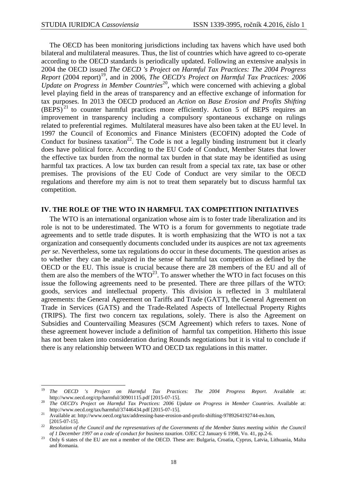l

The OECD has been monitoring jurisdictions including tax havens which have used both bilateral and multilateral measures. Thus, the list of countries which have agreed to co-operate according to the OECD standards is periodically updated. Following an extensive analysis in 2004 the OECD issued *The OECD 's Project on Harmful Tax Practices: The 2004 Progress Report* (2004 report)<sup>19</sup>, and in 2006*, The OECD's Project on Harmful Tax Practices: 2006 Update on Progress in Member Countries*<sup>20</sup>, which were concerned with achieving a global level playing field in the areas of transparency and an effective exchange of information for tax purposes. In 2013 the OECD produced an *Action* on *Base Erosion and Profits Shifting*   $(BEPS)^{21}$  to counter harmful practices more efficiently. Action 5 of BEPS requires an improvement in transparency including a compulsory spontaneous exchange on rulings related to preferential regimes. Multilateral measures have also been taken at the EU level. In 1997 the Council of Economics and Finance Ministers (ECOFIN) adopted the Code of Conduct for business taxation<sup>22</sup>. The Code is not a legally binding instrument but it clearly does have political force. According to the EU Code of Conduct, Member States that lower the effective tax burden from the normal tax burden in that state may be identified as using harmful tax practices. A low tax burden can result from a special tax rate, tax base or other premises. The provisions of the EU Code of Conduct are very similar to the OECD regulations and therefore my aim is not to treat them separately but to discuss harmful tax competition.

#### **IV. THE ROLE OF THE WTO IN HARMFUL TAX COMPETITION INITIATIVES**

The WTO is an international organization whose aim is to foster trade liberalization and its role is not to be underestimated. The WTO is a forum for governments to negotiate trade agreements and to settle trade disputes. It is worth emphasizing that the WTO is not a tax organization and consequently documents concluded under its auspices are not tax agreements *per se*. Nevertheless, some tax regulations do occur in these documents. The question arises as to whether they can be analyzed in the sense of harmful tax competition as defined by the OECD or the EU. This issue is crucial because there are 28 members of the EU and all of them are also the members of the  $WTO^{23}$ . To answer whether the WTO in fact focuses on this issue the following agreements need to be presented. There are three pillars of the WTO: goods, services and intellectual property. This division is reflected in 3 multilateral agreements: the General Agreement on Tariffs and Trade (GATT), the General Agreement on Trade in Services (GATS) and the Trade-Related Aspects of Intellectual Property Rights (TRIPS). The first two concern tax regulations, solely. There is also the Agreement on Subsidies and Countervailing Measures (SCM Agreement) which refers to taxes. None of these agreement however include a definition of harmful tax competition. Hitherto this issue has not been taken into consideration during Rounds negotiations but it is vital to conclude if there is any relationship between WTO and OECD tax regulations in this matter.

<sup>19</sup> *The OECD 's Project on Harmful Tax Practices: The 2004 Progress Report*. Available at: http://www.oecd.org/ctp/harmful/30901115.pdf [2015-07-15].

<sup>20</sup> *The OECD's Project on Harmful Tax Practices: 2006 Update on Progress in Member Countries*. Available at: http://www.oecd.org/tax/harmful/37446434.pdf [2015-07-15].

<sup>&</sup>lt;sup>21</sup> Available at: http://www.oecd.org/tax/addressing-base-erosion-and-profit-shifting-9789264192744-en.htm, [2015-07-15].

<sup>&</sup>lt;sup>22</sup> Resolution of the Council and the representatives of the Governments of the Member States meeting within the Council *of 1 December 1997 on a code of conduct for business taxation*. OJEC C2 January 6 1998, Vo. 41, pp.2-6.

<sup>&</sup>lt;sup>23</sup> Only 6 states of the EU are not a member of the OECD. These are: Bulgaria, Croatia, Cyprus, Latvia, Lithuania, Malta and Romania.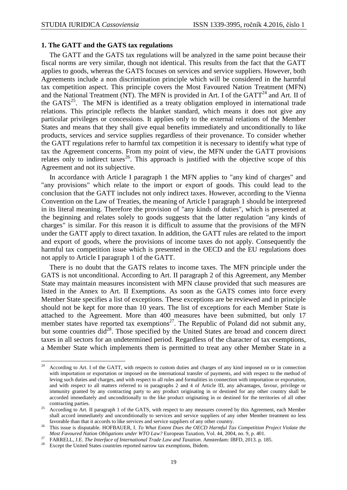#### **1. The GATT and the GATS tax regulations**

The GATT and the GATS tax regulations will be analyzed in the same point because their fiscal norms are very similar, though not identical. This results from the fact that the GATT applies to goods, whereas the GATS focuses on services and service suppliers. However, both Agreements include a non discrimination principle which will be considered in the harmful tax competition aspect. This principle covers the Most Favoured Nation Treatment (MFN) and the National Treatment (NT). The MFN is provided in Art. I of the  $GATT<sup>24</sup>$  and Art. II of the  $GATS^{25}$ . The MFN is identified as a treaty obligation employed in international trade relations. This principle reflects the blanket standard, which means it does not give any particular privileges or concessions. It applies only to the external relations of the Member States and means that they shall give equal benefits immediately and unconditionally to like products, services and service supplies regardless of their provenance. To consider whether the GATT regulations refer to harmful tax competition it is necessary to identify what type of tax the Agreement concerns. From my point of view, the MFN under the GATT provisions relates only to indirect taxes<sup>26</sup>. This approach is justified with the objective scope of this Agreement and not its subjective.

In accordance with Article I paragraph 1 the MFN applies to "any kind of charges" and "any provisions" which relate to the import or export of goods. This could lead to the conclusion that the GATT includes not only indirect taxes. However, according to the Vienna Convention on the Law of Treaties, the meaning of Article I paragraph 1 should be interpreted in its literal meaning. Therefore the provision of "any kinds of duties", which is presented at the beginning and relates solely to goods suggests that the latter regulation "any kinds of charges" is similar. For this reason it is difficult to assume that the provisions of the MFN under the GATT apply to direct taxation. In addition, the GATT rules are related to the import and export of goods, where the provisions of income taxes do not apply. Consequently the harmful tax competition issue which is presented in the OECD and the EU regulations does not apply to Article I paragraph 1 of the GATT.

There is no doubt that the GATS relates to income taxes. The MFN principle under the GATS is not unconditional. According to Art. II paragraph 2 of this Agreement, any Member State may maintain measures inconsistent with MFN clause provided that such measures are listed in the Annex to Art. II Exemptions. As soon as the GATS comes into force every Member State specifies a list of exceptions. These exceptions are be reviewed and in principle should not be kept for more than 10 years. The list of exceptions for each Member State is attached to the Agreement. More than 400 measures have been submitted, but only 17 member states have reported tax exemptions<sup>27</sup>. The Republic of Poland did not submit any, but some countries  $\text{did}^{28}$ . Those specified by the United States are broad and concern direct taxes in all sectors for an undetermined period. Regardless of the character of tax exemptions, a Member State which implements them is permitted to treat any other Member State in a

<sup>24</sup> According to Art. I of the GATT, with respects to custom duties and charges of any kind imposed on or in connection with importation or exportation or imposed on the international transfer of payments, and with respect to the method of leving such duties and charges, and with respect to all rules and formalities in connection with importation or exportation, and with respect to all matters referred to in paragraphs 2 and 4 of Article III, any advantages, favour, privilege or immunity granted by any contracting party to any product originating in or destined for any other country shall be accorded immediately and unconditionally to the like product originating in or destined for the territories of all other contracting parties.

<sup>&</sup>lt;sup>25</sup> According to Art. II paragraph 1 of the GATS, with respect to any measures covered by this Agreement, each Member shall accord immediately and unconditionally to services and service suppliers of any other Member treatment no less favorable than that it accords to like services and service suppliers of any other country.

<sup>&</sup>lt;sup>26</sup> This issue is disputable. HOFBAUER, I. To What Extent Does the OECD Harmful Tax Competition Project Violate the *Most Favoured Nation Obligations under WTO Law?* European Taxation, Vol. 44, 2004, no. 9, p. 401.

<sup>27</sup> FARRELL, J.E. *The Interface of International Trade Law and Taxation*. Amsterdam: IBFD, 2013. p. 185.

<sup>&</sup>lt;sup>28</sup> Except the United States countries reported narrow tax exemptions, Ibidem.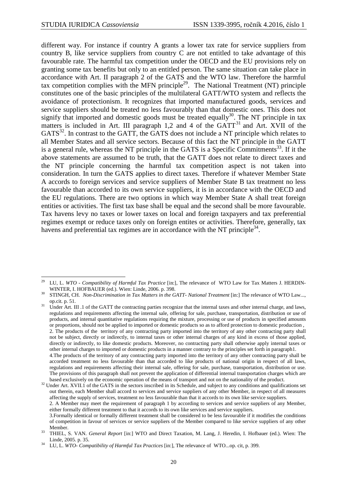$\overline{a}$ 

different way. For instance if country A grants a lower tax rate for service suppliers from country B, like service suppliers from country C are not entitled to take advantage of this favourable rate. The harmful tax competition under the OECD and the EU provisions rely on granting some tax benefits but only to an entitled person. The same situation can take place in accordance with Art. II paragraph 2 of the GATS and the WTO law. Therefore the harmful tax competition complies with the MFN principle<sup>29</sup>. The National Treatment (NT) principle constitutes one of the basic principles of the multilateral GATT/WTO system and reflects the avoidance of protectionism. It recognizes that imported manufactured goods, services and service suppliers should be treated no less favourably than that domestic ones. This does not signify that imported and domestic goods must be treated equally<sup>30</sup>. The NT principle in tax matters is included in Art. III paragraph 1.2 and 4 of the  $GATT<sup>31</sup>$  and Art. XVII of the GATS<sup>32</sup>. In contrast to the GATT, the GATS does not include a NT principle which relates to all Member States and all service sectors. Because of this fact the NT principle in the GATT is a general rule, whereas the NT principle in the GATS is a Specific Commitments<sup>33</sup>. If it the above statements are assumed to be truth, that the GATT does not relate to direct taxes and the NT principle concerning the harmful tax competition aspect is not taken into consideration. In turn the GATS applies to direct taxes. Therefore if whatever Member State A accords to foreign services and service suppliers of Member State B tax treatment no less favourable than accorded to its own service suppliers, it is in accordance with the OECD and the EU regulations. There are two options in which way Member State A shall treat foreign entities or activities. The first tax base shall be equal and the second shall be more favourable. Tax havens levy no taxes or lower taxes on local and foreign taxpayers and tax preferential regimes exempt or reduce taxes only on foreign entites or activities. Therefore, generally, tax havens and preferential tax regimes are in accordance with the NT principle<sup>34</sup>.

<sup>&</sup>lt;sup>29</sup> LU, L. *WTO - Compatibility of Harmful Tax Practice* [in:], The relevance of WTO Law for Tax Matters J. HERDIN-WINTER, I. HOFBAUER (ed.). Wien: Linde, 2006. p. 398.

<sup>&</sup>lt;sup>30</sup> STINGH, CH. *Non-Discrimination in Tax Matters in the GATT- National Treatment* [in:] The relevance of WTO Law..., op.cit. p. 51.

<sup>&</sup>lt;sup>31</sup> Under Art. III .1 of the GATT the contracting parties recognize that the internal taxes and other internal charge, and laws, regulations and requirements affecting the internal sale, offering for sale, purchase, transportation, distribution or use of products, and internal quantitative regulations requiring the mixture, processing or use of products in specified amounts or proportions, should not be applied to imported or domestic products so as to afford protection to domestic production , 2. The products of the territory of any contracting party imported into the territory of any other contracting party shall not be subject, directly or indirectly, to internal taxes or other internal charges of any kind in excess of those applied, directly or indirectly, to like domestic products. Moreover, no contracting party shall otherwise apply internal taxes or other internal charges to imported or domestic products in a manner contrary to the principles set forth in paragraph1. 4.The products of the territory of any contracting party imported into the territory of any other contracting party shall be accorded treatment no less favourable than that accorded to like products of national origin in respect of all laws, regulations and requirements affecting their internal sale, offering for sale, purchase, transportation, distribution or use.

The provisions of this paragraph shall not prevent the application of differential internal transportation charges which are based exclusively on the economic operation of the means of transport and not on the nationality of the product. <sup>32</sup> Under Art. XVII.1 of the GATS in the sectors inscribed in its Schedule, and subject to any conditions and qualifications set

out therein, each Member shall accord to services and service suppliers of any other Member, in respect of all measures affecting the supply of services, treatment no less favourable than that it accords to its own like service suppliers.

<sup>2.</sup> A Member may meet the requirement of paragraph 1 by according to services and service suppliers of any Member, either formally different treatment to that it accords to its own like services and service suppliers.

<sup>3.</sup>Formally identical or formally different treatment shall be considered to be less favourable if it modifies the conditions of competition in favour of services or service suppliers of the Member compared to like service suppliers of any other Member.

<sup>33</sup> THIEL, S. VAN. *General Report* [in:] WTO and Direct Taxation, M. Lang, J. Heredin, I. Hofbauer (ed.). Wien: The Linde, 2005. p. 35.

<sup>&</sup>lt;sup>34</sup> LU, L. *WTO-Compatibility of Harmful Tax Practices* [in:], The relevance of WTO...op. cit, p. 399.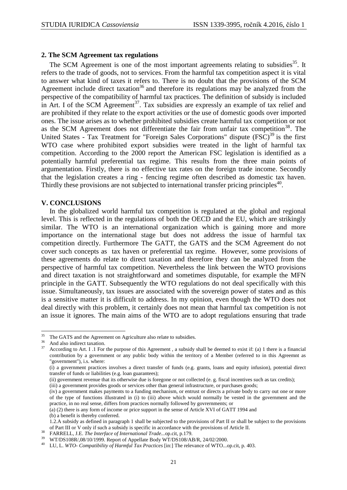#### **2. The SCM Agreement tax regulations**

The SCM Agreement is one of the most important agreements relating to subsidies<sup>35</sup>. It refers to the trade of goods, not to services. From the harmful tax competition aspect it is vital to answer what kind of taxes it refers to. There is no doubt that the provisions of the SCM Agreement include direct taxation<sup>36</sup> and therefore its regulations may be analyzed from the perspective of the compatibility of harmful tax practices. The definition of subsidy is included in Art. I of the SCM Agreement<sup>37</sup>. Tax subsidies are expressly an example of tax relief and are prohibited if they relate to the export activities or the use of domestic goods over imported ones. The issue arises as to whether prohibited subsidies create harmful tax competition or not as the SCM Agreement does not differentiate the fair from unfair tax competition<sup>38</sup>. The United States - Tax Treatment for "Foreign Sales Corporations" dispute  $(FSC)^{39}$  is the first WTO case where prohibited export subsidies were treated in the light of harmful tax competition. According to the 2000 report the American FSC legislation is identified as a potentially harmful preferential tax regime. This results from the three main points of argumentation. Firstly, there is no effective tax rates on the foreign trade income. Secondly that the legislation creates a ring - fencing regime often described as domestic tax haven. Thirdly these provisions are not subjected to international transfer pricing principles<sup>40</sup>.

#### **V. CONCLUSIONS**

In the globalized world harmful tax competition is regulated at the global and regional level. This is reflected in the regulations of both the OECD and the EU, which are strikingly similar. The WTO is an international organization which is gaining more and more importance on the international stage but does not address the issue of harmful tax competition directly. Furthermore The GATT, the GATS and the SCM Agreement do not cover such concepts as tax haven or preferential tax regime. However, some provisions of these agreements do relate to direct taxation and therefore they can be analyzed from the perspective of harmful tax competition. Nevertheless the link between the WTO provisions and direct taxation is not straightforward and sometimes disputable, for example the MFN principle in the GATT. Subsequently the WTO regulations do not deal specifically with this issue. Simultaneously, tax issues are associated with the sovereign power of states and as this is a sensitive matter it is difficult to address. In my opinion, even though the WTO does not deal directly with this problem, it certainly does not mean that harmful tax competition is not an issue it ignores. The main aims of the WTO are to adopt regulations ensuring that trade

<sup>&</sup>lt;sup>35</sup> The GATS and the Agreement on Agriculture also relate to subsidies.

And also indirect taxation.

<sup>37</sup> According to Art. I .1 For the purpose of this Agreement , a subsidy shall be deemed to exist if: (a) 1 there is a financial contribution by a government or any public body within the territory of a Member (referred to in this Agreemnt as "government"), i.s. where:

<sup>(</sup>i) a government practices involves a direct transfer of funds (e.g. grants, loans and equity infusion), potential direct transfer of funds or liabilities (e.g. loan guarantees);

<sup>(</sup>ii) government revenue that its otherwise due is foregone or not collected (e. g. fiscal incentives such as tax credits);

<sup>(</sup>iii) a government provides goods or services other than general infrastructure, or purchases goods;

<sup>(</sup>iv) a government makes payments to a funding mechanism, or entrust or directs a private body to carry out one or more of the type of functions illustrated in (i) to (iii) above which would normally be vested in the government and the practice, in no real sense, differs from practices normally followed by govrernments; or

<sup>(</sup>a) (2) there is any form of income or price support in the sense of Article XVI of GATT 1994 and (b) a benefit is thereby conferred.

<sup>1.2.</sup>A subsidy as defined in paragraph 1 shall be subjected to the provisions of Part II or shall be subject to the provisions of Part III or V only if such a subsidy is specific in accordance with the provisions of Article II.

<sup>38</sup> FARRELL, J.E. *The Interface of International Trade...*op.cit*,* p.179.

 $39$  WT/DS108R/,08/10/1999. Report of Appellate Body WT/DS108/AB/R, 24/02/2000.

<sup>40</sup> LU, L. *WTO- Compatibility of Harmful Tax Practices* [in:] The relevance of WTO...op.cit, p. 403.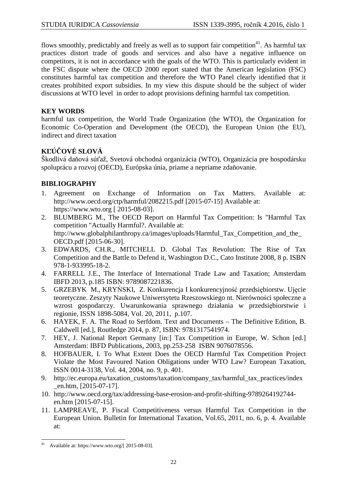flows smoothly, predictably and freely as well as to support fair competition<sup>41</sup>. As harmful tax practices distort trade of goods and services and also have a negative influence on competitors, it is not in accordance with the goals of the WTO. This is particularly evident in the FSC dispute where the OECD 2000 report stated that the American legislation (FSC) constitutes harmful tax competition and therefore the WTO Panel clearly identified that it creates prohibited export subsidies. In my view this dispute should be the subject of wider discussions at WTO level in order to adopt provisions defining harmful tax competition.

# **KEY WORDS**

harmful tax competition, the World Trade Organization (the WTO), the Organization for Economic Co-Operation and Development (the OECD), the European Union (the EU), indirect and direct taxation

# **KĽÚČOVÉ SLOVÁ**

Škodlivá daňová súťaž, Svetová obchodná organizácia (WTO), Organizácia pre hospodársku spoluprácu a rozvoj (OECD), Európska únia, priame a nepriame zdaňovanie.

# **BIBLIOGRAPHY**

- 1. Agreement on Exchange of Information on Tax Matters. Available at: http://www.oecd.org/ctp/harmful/2082215.pdf [2015-07-15] Available at: https://www.wto.org [ 2015-08-03].
- 2. BLUMBERG M., The OECD Report on Harmful Tax Competition: Is "Harmful Tax competition "Actually Harmful?. Available at: http://www.globalphilanthropy.ca/images/uploads/Harmful\_Tax\_Competition\_and\_the OECD.pdf [2015-06-30].
- 3. EDWARDS, CH.R., MITCHELL D. Global Tax Revolution: The Rise of Tax Competition and the Battle to Defend it, Washington D.C., Cato Institute 2008, 8 p. ISBN 978-1-933995-18-2.
- 4. FARRELL J.E., The Interface of International Trade Law and Taxation; Amsterdam IBFD 2013, p.185 ISBN: 9789087221836.
- 5. GRZEBYK M., KRYŃSKI, Z. Konkurencja I konkurencyjność przedsiębiorstw. Ujęcie teoretyczne. Zeszyty Naukowe Uniwersytetu Rzeszowskiego nt. Nierówności społeczne a wzrost gospodarczy. Uwarunkowania sprawnego działania w przedsiębiorstwie i regionie, ISSN 1898-5084, Vol. 20, 2011, p.107.
- 6. HAYEK, F. A. The Road to Serfdom. Text and Documents The Definitive Edition, B. Caldwell [ed.], Routledge 2014, p. 87, ISBN: 9781317541974.
- 7. HEY, J. National Report Germany [in:] Tax Competition in Europe, W. Schon [ed.] Amsterdam: IBFD Publications, 2003, pp.253-258 ISBN 9076078556.
- 8. HOFBAUER, I. To What Extent Does the OECD Harmful Tax Competition Project Violate the Most Favoured Nation Obligations under WTO Law? European Taxation, ISSN 0014-3138, Vol. 44, 2004, no. 9, p. 401.
- 9. http://ec.europa.eu/taxation\_customs/taxation/company\_tax/harmful\_tax\_practices/index \_en.htm, [2015-07-17].
- 10. http://www.oecd.org/tax/addressing-base-erosion-and-profit-shifting-9789264192744 en.htm [2015-07-15].
- 11. LAMPREAVE, P. Fiscal Competitiveness versus Harmful Tax Competition in the European Union. Bulletin for International Taxation, Vol.65, 2011, no. 6, p. 4. Available at:

Available at: https://www.wto.org/[ 2015-08-03].